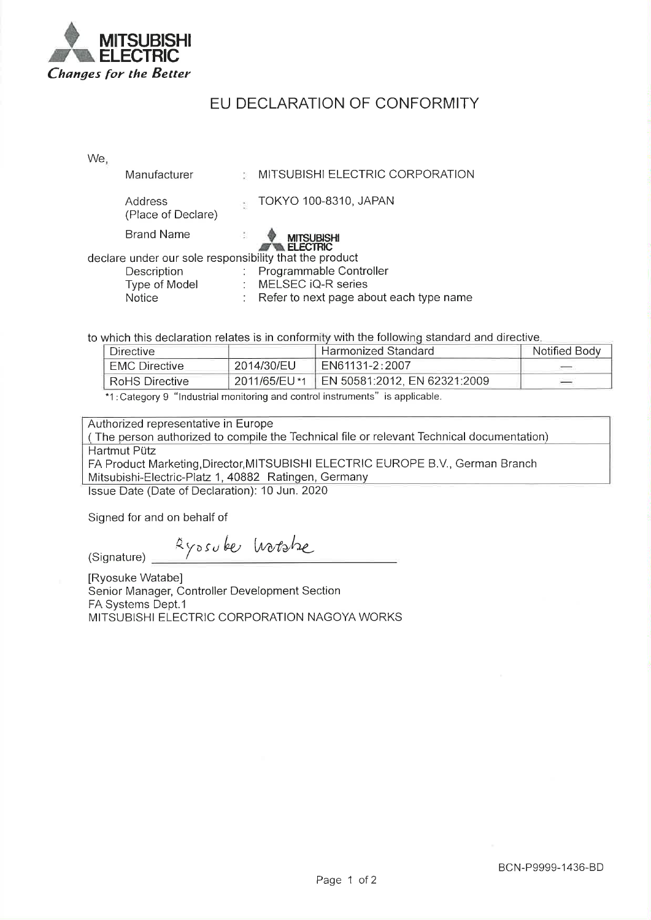

## EU DECLARATION OF CONFORMITY

We,

| Manufacturer                                           | MITSUBISHI ELECTRIC CORPORATION      |
|--------------------------------------------------------|--------------------------------------|
| Address<br>(Place of Declare)                          | TOKYO 100-8310, JAPAN                |
| <b>Brand Name</b>                                      | <b>MITSUBISHI</b><br><b>ELECTRIC</b> |
| declare under our sole responsibility that the product |                                      |
| Description                                            | Programmable Controller              |
| Type of Model                                          | MELSEC iQ-R series                   |

to which this declaration relates is in conformity with the following standard and directive.

| Directive             |                | Harmonized Standard          | Notified Body |
|-----------------------|----------------|------------------------------|---------------|
| <b>EMC Directive</b>  | 2014/30/EU     | EN61131-2:2007               |               |
| <b>RoHS Directive</b> | `2011/65/EU *1 | EN 50581:2012, EN 62321:2009 |               |
|                       |                |                              |               |

Refer to next page about each type name

\*1: Category 9 "Industrial monitoring and control instruments" is applicable.

÷.

Authorized representative in Europe

(The person authorized to compile the Technical file or relevant Technical documentation) Hartmut Pütz FA Product Marketing, Director, MITSUBISHI ELECTRIC EUROPE B.V., German Branch Mitsubishi-Electric-Platz 1, 40882 Ratingen, Germany

Issue Date (Date of Declaration): 10 Jun. 2020

Signed for and on behalf of

**Notice** 

Ayosuber hotske (Signature)

[Ryosuke Watabe] Senior Manager, Controller Development Section FA Systems Dept.1 MITSUBISHI ELECTRIC CORPORATION NAGOYA WORKS